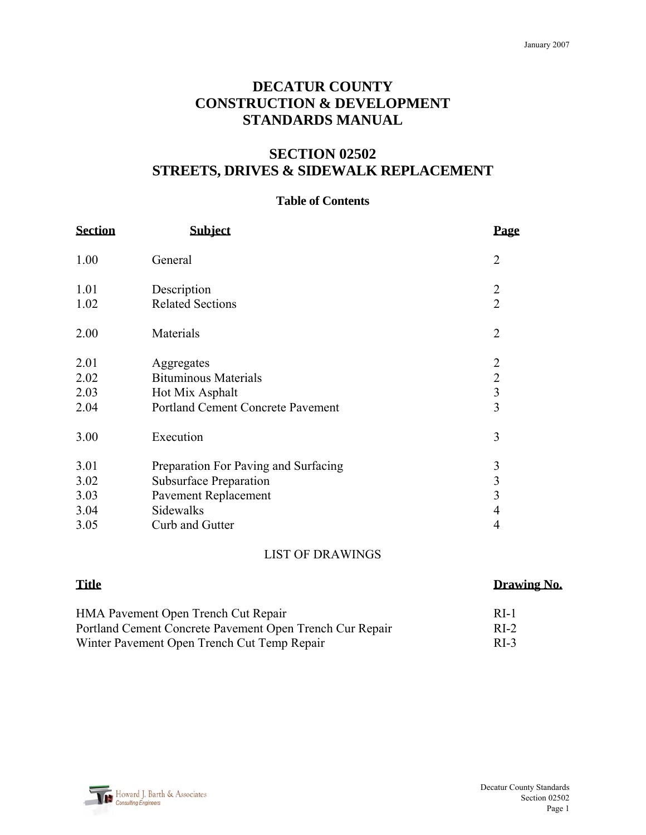## **DECATUR COUNTY CONSTRUCTION & DEVELOPMENT STANDARDS MANUAL**

# **SECTION 02502 STREETS, DRIVES & SIDEWALK REPLACEMENT**

### **Table of Contents**

| <b>Section</b> | <b>Subiect</b>                           | <b>Page</b>    |
|----------------|------------------------------------------|----------------|
| 1.00           | General                                  | $\overline{2}$ |
| 1.01           | Description                              | $\overline{2}$ |
| 1.02           | <b>Related Sections</b>                  | $\overline{2}$ |
| 2.00           | Materials                                | $\overline{2}$ |
| 2.01           | Aggregates                               | $\overline{2}$ |
| 2.02           | <b>Bituminous Materials</b>              | $\overline{2}$ |
| 2.03           | Hot Mix Asphalt                          | 3              |
| 2.04           | <b>Portland Cement Concrete Pavement</b> | $\overline{3}$ |
| 3.00           | Execution                                | 3              |
| 3.01           | Preparation For Paving and Surfacing     | 3              |
| 3.02           | <b>Subsurface Preparation</b>            | 3              |
| 3.03           | Pavement Replacement                     | $\overline{3}$ |
| 3.04           | Sidewalks                                | $\overline{4}$ |
| 3.05           | Curb and Gutter                          | 4              |
|                |                                          |                |

#### LIST OF DRAWINGS

| <b>Title</b>                                             | Drawing No. |
|----------------------------------------------------------|-------------|
| HMA Pavement Open Trench Cut Repair                      | $RI-1$      |
| Portland Cement Concrete Pavement Open Trench Cur Repair | $RI-2$      |
| Winter Pavement Open Trench Cut Temp Repair              | $RI-3$      |

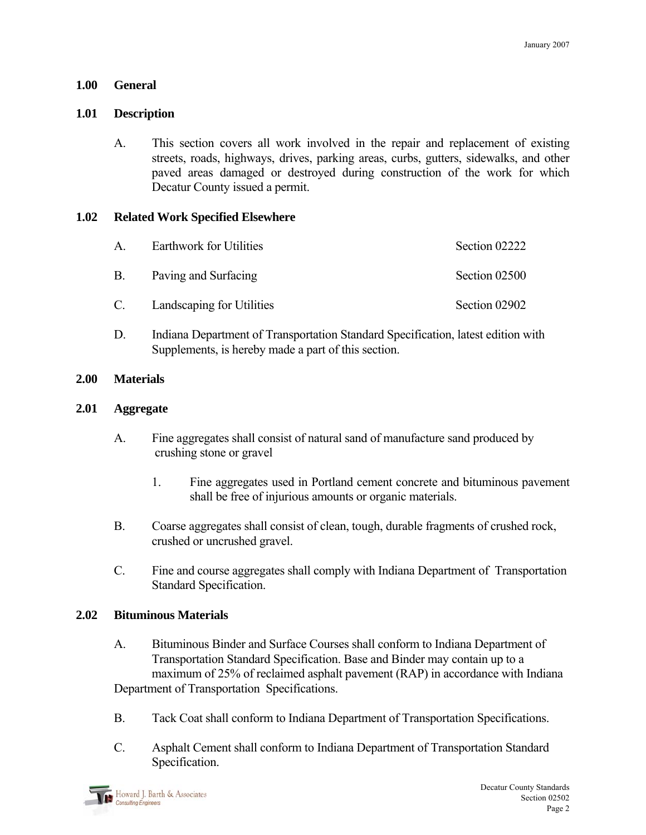### **1.00 General**

#### **1.01 Description**

 A. This section covers all work involved in the repair and replacement of existing streets, roads, highways, drives, parking areas, curbs, gutters, sidewalks, and other paved areas damaged or destroyed during construction of the work for which Decatur County issued a permit.

### **1.02 Related Work Specified Elsewhere**

| $\mathsf{A}$ | Earthwork for Utilities      | Section 02222 |
|--------------|------------------------------|---------------|
|              | B. Paving and Surfacing      | Section 02500 |
|              | C. Landscaping for Utilities | Section 02902 |

 D. Indiana Department of Transportation Standard Specification, latest edition with Supplements, is hereby made a part of this section.

#### **2.00 Materials**

#### **2.01 Aggregate**

- A. Fine aggregates shall consist of natural sand of manufacture sand produced by crushing stone or gravel
	- 1. Fine aggregates used in Portland cement concrete and bituminous pavement shall be free of injurious amounts or organic materials.
- B. Coarse aggregates shall consist of clean, tough, durable fragments of crushed rock, crushed or uncrushed gravel.
- C. Fine and course aggregates shall comply with Indiana Department of Transportation Standard Specification.

### **2.02 Bituminous Materials**

- A. Bituminous Binder and Surface Courses shall conform to Indiana Department of Transportation Standard Specification. Base and Binder may contain up to a maximum of 25% of reclaimed asphalt pavement (RAP) in accordance with Indiana Department of Transportation Specifications.
- B. Tack Coat shall conform to Indiana Department of Transportation Specifications.
- C. Asphalt Cement shall conform to Indiana Department of Transportation Standard Specification.

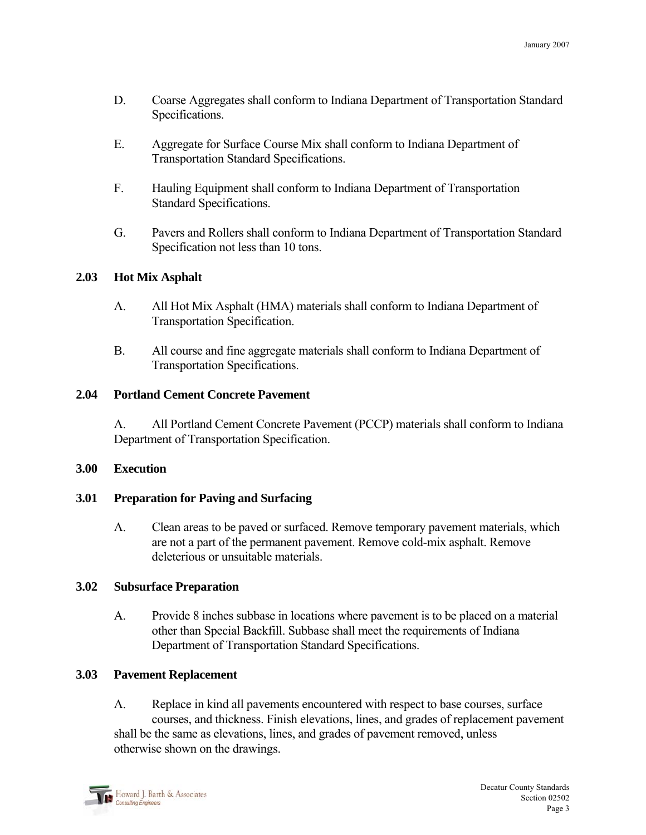- D. Coarse Aggregates shall conform to Indiana Department of Transportation Standard Specifications.
- E. Aggregate for Surface Course Mix shall conform to Indiana Department of Transportation Standard Specifications.
- F. Hauling Equipment shall conform to Indiana Department of Transportation Standard Specifications.
- G. Pavers and Rollers shall conform to Indiana Department of Transportation Standard Specification not less than 10 tons.

### **2.03 Hot Mix Asphalt**

- A. All Hot Mix Asphalt (HMA) materials shall conform to Indiana Department of Transportation Specification.
- B. All course and fine aggregate materials shall conform to Indiana Department of Transportation Specifications.

### **2.04 Portland Cement Concrete Pavement**

A. All Portland Cement Concrete Pavement (PCCP) materials shall conform to Indiana Department of Transportation Specification.

### **3.00 Execution**

### **3.01 Preparation for Paving and Surfacing**

A. Clean areas to be paved or surfaced. Remove temporary pavement materials, which are not a part of the permanent pavement. Remove cold-mix asphalt. Remove deleterious or unsuitable materials.

### **3.02 Subsurface Preparation**

A. Provide 8 inches subbase in locations where pavement is to be placed on a material other than Special Backfill. Subbase shall meet the requirements of Indiana Department of Transportation Standard Specifications.

### **3.03 Pavement Replacement**

A. Replace in kind all pavements encountered with respect to base courses, surface courses, and thickness. Finish elevations, lines, and grades of replacement pavement shall be the same as elevations, lines, and grades of pavement removed, unless otherwise shown on the drawings.

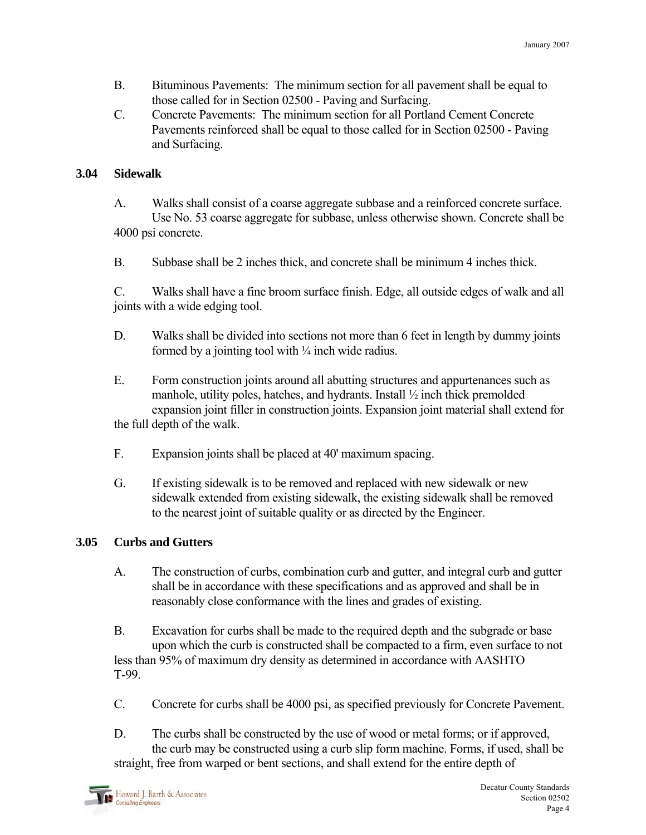- B. Bituminous Pavements: The minimum section for all pavement shall be equal to those called for in Section 02500 - Paving and Surfacing.
- C. Concrete Pavements: The minimum section for all Portland Cement Concrete Pavements reinforced shall be equal to those called for in Section 02500 - Paving and Surfacing.

### **3.04 Sidewalk**

A. Walks shall consist of a coarse aggregate subbase and a reinforced concrete surface. Use No. 53 coarse aggregate for subbase, unless otherwise shown. Concrete shall be 4000 psi concrete.

B. Subbase shall be 2 inches thick, and concrete shall be minimum 4 inches thick.

 C. Walks shall have a fine broom surface finish. Edge, all outside edges of walk and all joints with a wide edging tool.

- D. Walks shall be divided into sections not more than 6 feet in length by dummy joints formed by a jointing tool with  $\frac{1}{4}$  inch wide radius.
- E. Form construction joints around all abutting structures and appurtenances such as manhole, utility poles, hatches, and hydrants. Install ½ inch thick premolded expansion joint filler in construction joints. Expansion joint material shall extend for the full depth of the walk.
- F. Expansion joints shall be placed at 40' maximum spacing.
- G. If existing sidewalk is to be removed and replaced with new sidewalk or new sidewalk extended from existing sidewalk, the existing sidewalk shall be removed to the nearest joint of suitable quality or as directed by the Engineer.

### **3.05 Curbs and Gutters**

A. The construction of curbs, combination curb and gutter, and integral curb and gutter shall be in accordance with these specifications and as approved and shall be in reasonably close conformance with the lines and grades of existing.

 B. Excavation for curbs shall be made to the required depth and the subgrade or base upon which the curb is constructed shall be compacted to a firm, even surface to not less than 95% of maximum dry density as determined in accordance with AASHTO T-99.

- C. Concrete for curbs shall be 4000 psi, as specified previously for Concrete Pavement.
- D. The curbs shall be constructed by the use of wood or metal forms; or if approved, the curb may be constructed using a curb slip form machine. Forms, if used, shall be straight, free from warped or bent sections, and shall extend for the entire depth of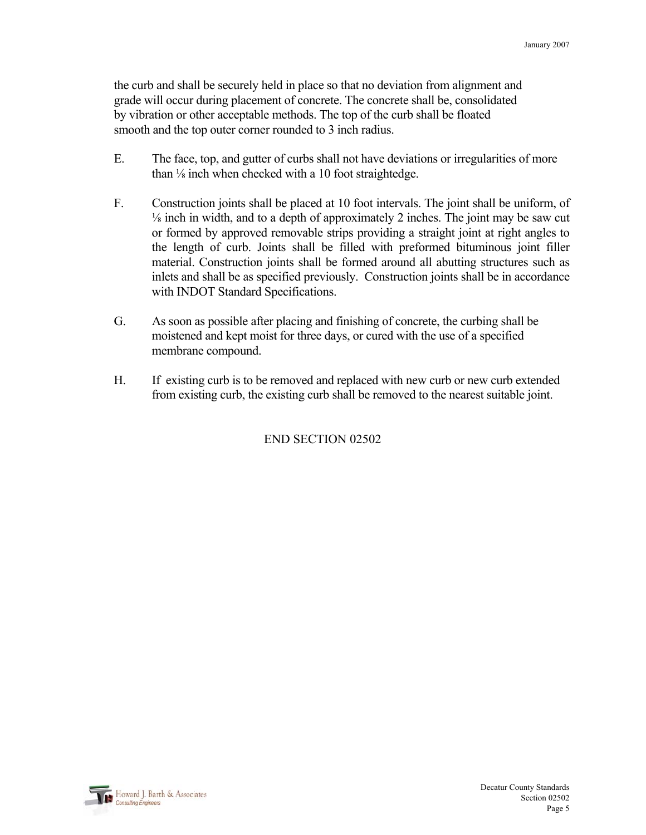the curb and shall be securely held in place so that no deviation from alignment and grade will occur during placement of concrete. The concrete shall be, consolidated by vibration or other acceptable methods. The top of the curb shall be floated smooth and the top outer corner rounded to 3 inch radius.

- E. The face, top, and gutter of curbs shall not have deviations or irregularities of more than ⅛ inch when checked with a 10 foot straightedge.
- F. Construction joints shall be placed at 10 foot intervals. The joint shall be uniform, of ⅛ inch in width, and to a depth of approximately 2 inches. The joint may be saw cut or formed by approved removable strips providing a straight joint at right angles to the length of curb. Joints shall be filled with preformed bituminous joint filler material. Construction joints shall be formed around all abutting structures such as inlets and shall be as specified previously. Construction joints shall be in accordance with INDOT Standard Specifications.
- G. As soon as possible after placing and finishing of concrete, the curbing shall be moistened and kept moist for three days, or cured with the use of a specified membrane compound.
- H. If existing curb is to be removed and replaced with new curb or new curb extended from existing curb, the existing curb shall be removed to the nearest suitable joint.

### END SECTION 02502

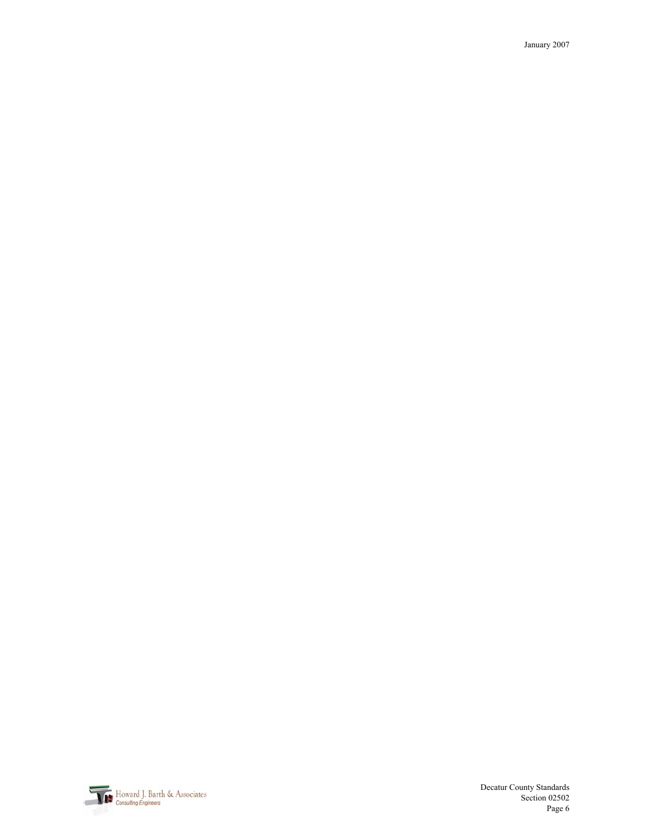January 2007

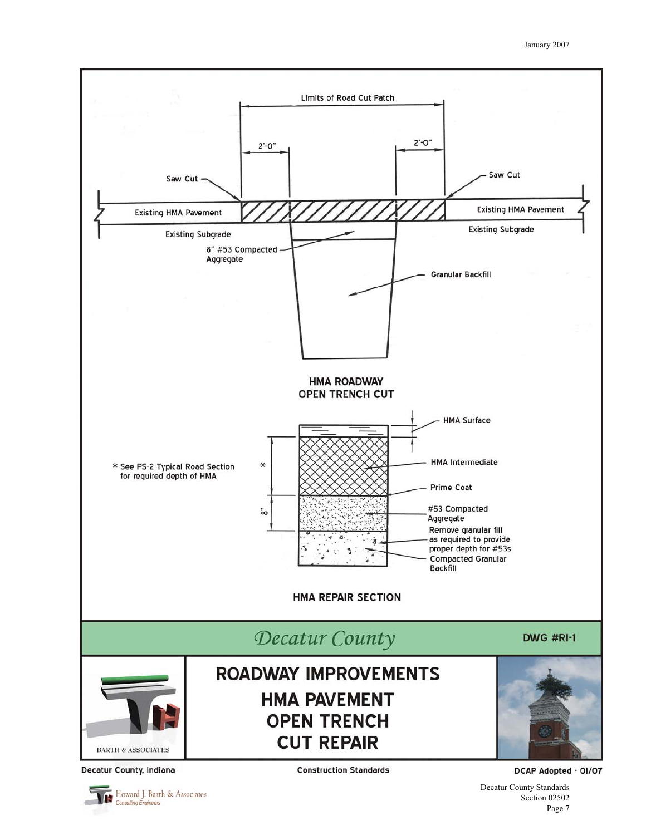

**Construction Standards** 

DCAP Adopted - 01/07

Decatur County Standards Section 02502 Page 7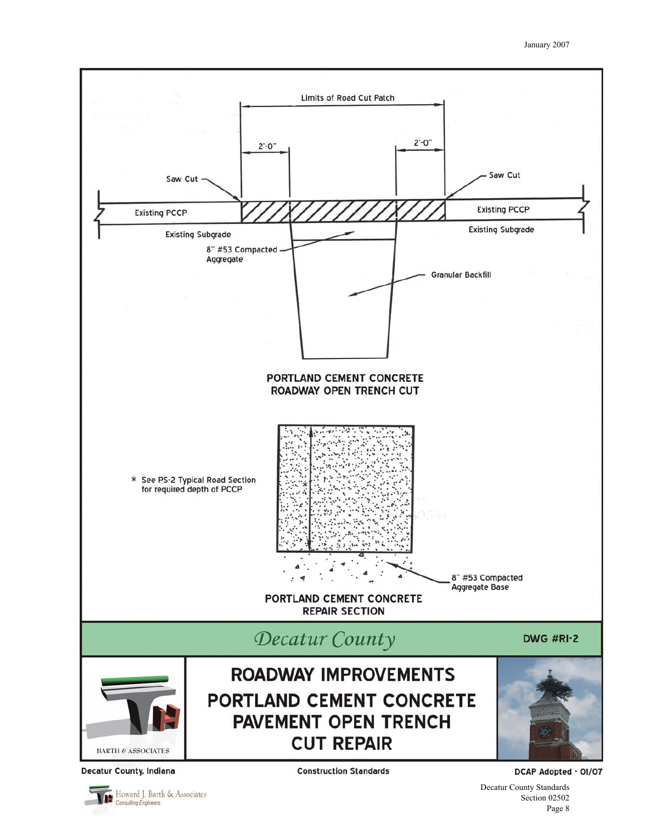

Decatur County, Indiana

Howard J. Barth & Associates

**Construction Standards** 

DCAP Adopted - 01/07

Decatur County Standards Section 02502 Page 8